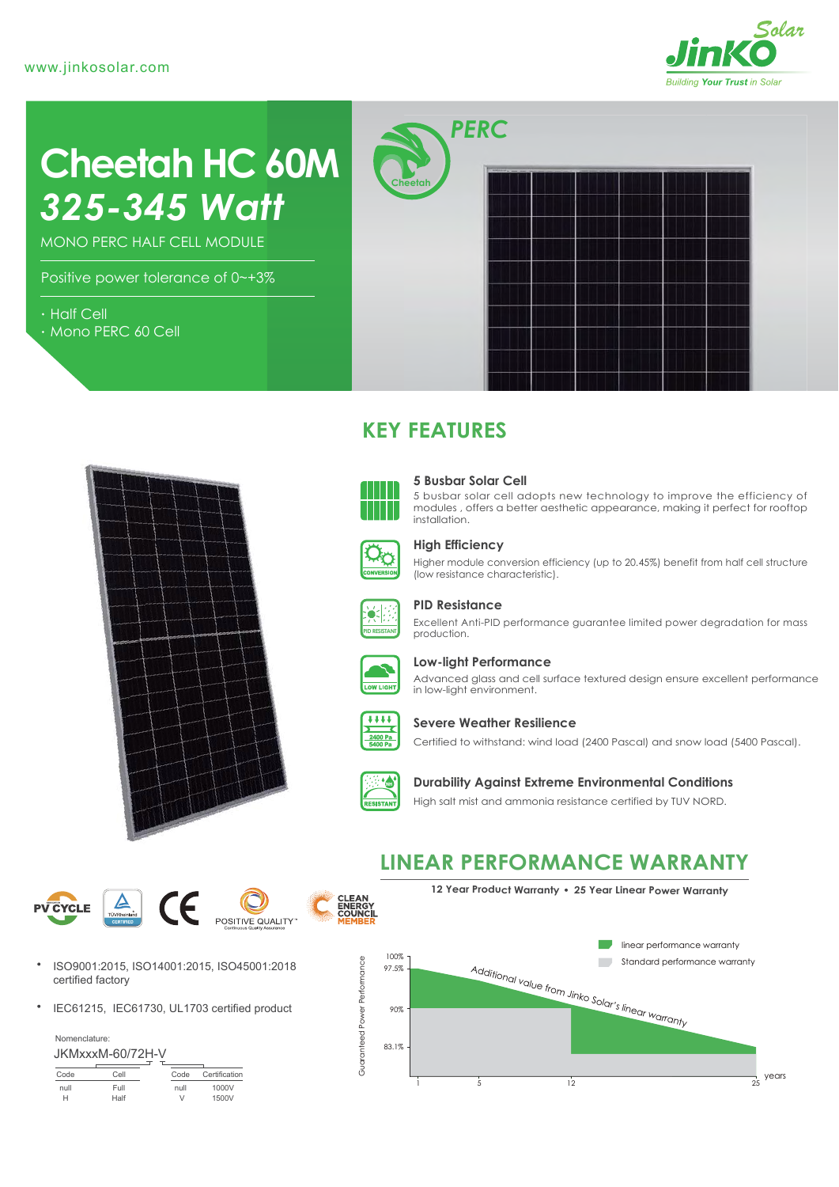

# *325-345 Watt* **Cheetah HC 60M**

MONO PERC HALF CELL MODULE

Positive power tolerance of 0~+3%

- Half Cell
- Mono PERC 60 Cell



*PERC* **Cheetah**



# **KEY FEATURES**



#### **5 Busbar Solar Cell**

5 busbar solar cell adopts new technology to improve the efficiency of modules , offers a better aesthetic appearance, making it perfect for rooftop installation.



#### **High Efficiency**

Higher module conversion efficiency (up to 20.45%) benefit from half cell structure (low resistance characteristic).



#### **PID Resistance**

Excellent Anti-PID performance guarantee limited power degradation for mass production.



#### **Low-light Performance**

Advanced glass and cell surface textured design ensure excellent performance in low-light environment.



#### **Severe Weather Resilience**

Certified to withstand: wind load (2400 Pascal) and snow load (5400 Pascal).



### **Durability Against Extreme Environmental Conditions**

High salt mist and ammonia resistance certified by TUV NORD.





- ISO9001:2015, ISO14001:2015, ISO45001:2018  $\bullet$ certified factory
- $\bullet$ IEC61215, IEC61730, UL1703 certified product

Nomenclature: JKMxxxM-60/72H-V

|      | JI \IVIAAAIVI"UUI I ZI I" V |        |               |
|------|-----------------------------|--------|---------------|
| Code | Cell                        | Code   | Certification |
| null | Full                        | null   | 1000V         |
|      | Half                        | $\vee$ | 1500V         |